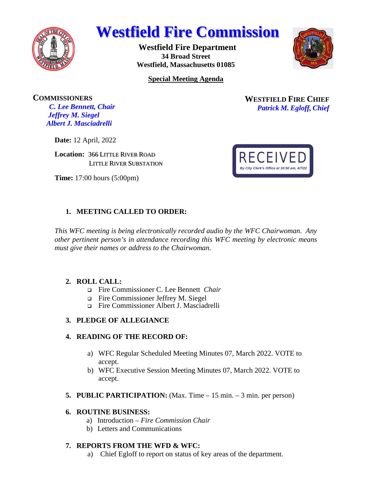

# **Westfield Fire Commission**

**Westfield Fire Department 34 Broad Street Westfield, Massachusetts 01085** 



**Special Meeting Agenda** 

**COMMISSIONERS** *C. Lee Bennett, Chair Jeffrey M. Siegel* 

**WESTFIELD FIRE CHIEF** *Patrick M. Egloff, Chief* 

**Date:** 12 April, 2022

*Albert J. Masciadrelli* 

**Location:** 366 LITTLE RIVER ROAD LITTLE RIVER SUBSTATION

**Time:** 17:00 hours (5:00pm)

# **1. MEETING CALLED TO ORDER:**

*This WFC meeting is being electronically recorded audio by the WFC Chairwoman*. *Any other pertinent person's in attendance recording this WFC meeting by electronic means must give their names or address to the Chairwoman*.

## **2. ROLL CALL:**

- Fire Commissioner C. Lee Bennett *Chair*
- Fire Commissioner Jeffrey M. Siegel
- Fire Commissioner Albert J. Masciadrelli

## **3. PLEDGE OF ALLEGIANCE**

## **4. READING OF THE RECORD OF:**

- a) WFC Regular Scheduled Meeting Minutes 07, March 2022. VOTE to accept.
- b) WFC Executive Session Meeting Minutes 07, March 2022. VOTE to accept.
- **5. PUBLIC PARTICIPATION:** (Max. Time 15 min. 3 min. per person)

#### **6. ROUTINE BUSINESS:**

- a) Introduction *Fire Commission Chair*
- b) Letters and Communications

## **7. REPORTS FROM THE WFD & WFC:**

a) Chief Egloff to report on status of key areas of the department.